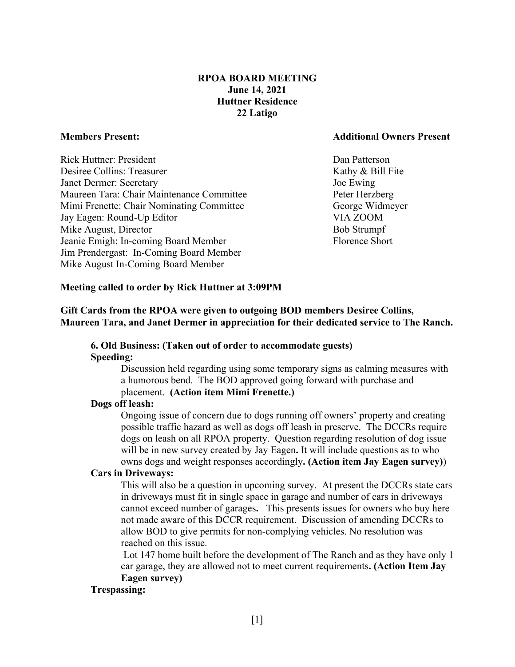## **RPOA BOARD MEETING June 14, 2021 Huttner Residence 22 Latigo**

Rick Huttner: President Dan Patterson Desiree Collins: Treasurer **Example 2018** Example 2018 **Example 2018** Example 2018 **Example 2018** Example 2019 Janet Dermer: Secretary Joe Ewing Maureen Tara: Chair Maintenance Committee Peter Herzberg Mimi Frenette: Chair Nominating Committee George Widmeyer Jay Eagen: Round-Up Editor VIA ZOOM Mike August, Director **Bob Strumpf** Bob Strumpf Jeanie Emigh: In-coming Board Member Florence Short Jim Prendergast: In-Coming Board Member Mike August In-Coming Board Member

#### **Members Present: Additional Owners Present**

### **Meeting called to order by Rick Huttner at 3:09PM**

## **Gift Cards from the RPOA were given to outgoing BOD members Desiree Collins, Maureen Tara, and Janet Dermer in appreciation for their dedicated service to The Ranch.**

### **6. Old Business: (Taken out of order to accommodate guests) Speeding:**

Discussion held regarding using some temporary signs as calming measures with a humorous bend. The BOD approved going forward with purchase and placement. **(Action item Mimi Frenette.)**

#### **Dogs off leash:**

Ongoing issue of concern due to dogs running off owners' property and creating possible traffic hazard as well as dogs off leash in preserve. The DCCRs require dogs on leash on all RPOA property. Question regarding resolution of dog issue will be in new survey created by Jay Eagen**.** It will include questions as to who owns dogs and weight responses accordingly**. (Action item Jay Eagen survey)**)

### **Cars in Driveways:**

This will also be a question in upcoming survey. At present the DCCRs state cars in driveways must fit in single space in garage and number of cars in driveways cannot exceed number of garages**.** This presents issues for owners who buy here not made aware of this DCCR requirement. Discussion of amending DCCRs to allow BOD to give permits for non-complying vehicles. No resolution was reached on this issue.

Lot 147 home built before the development of The Ranch and as they have only 1 car garage, they are allowed not to meet current requirements**. (Action Item Jay Eagen survey)**

# **Trespassing:**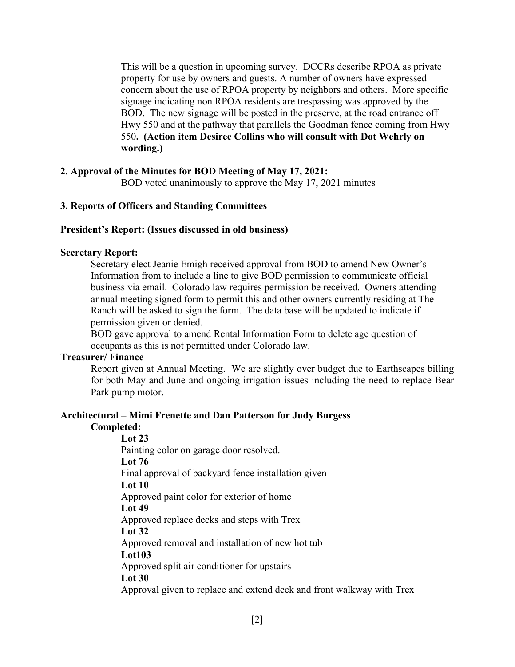This will be a question in upcoming survey. DCCRs describe RPOA as private property for use by owners and guests. A number of owners have expressed concern about the use of RPOA property by neighbors and others. More specific signage indicating non RPOA residents are trespassing was approved by the BOD. The new signage will be posted in the preserve, at the road entrance off Hwy 550 and at the pathway that parallels the Goodman fence coming from Hwy 550**. (Action item Desiree Collins who will consult with Dot Wehrly on wording.)** 

## **2. Approval of the Minutes for BOD Meeting of May 17, 2021:**

BOD voted unanimously to approve the May 17, 2021 minutes

### **3. Reports of Officers and Standing Committees**

#### **President's Report: (Issues discussed in old business)**

#### **Secretary Report:**

Secretary elect Jeanie Emigh received approval from BOD to amend New Owner's Information from to include a line to give BOD permission to communicate official business via email. Colorado law requires permission be received. Owners attending annual meeting signed form to permit this and other owners currently residing at The Ranch will be asked to sign the form. The data base will be updated to indicate if permission given or denied.

BOD gave approval to amend Rental Information Form to delete age question of occupants as this is not permitted under Colorado law.

#### **Treasurer/ Finance**

Report given at Annual Meeting. We are slightly over budget due to Earthscapes billing for both May and June and ongoing irrigation issues including the need to replace Bear Park pump motor.

# **Architectural – Mimi Frenette and Dan Patterson for Judy Burgess**

#### **Completed:**

**Lot 23**  Painting color on garage door resolved. **Lot 76** Final approval of backyard fence installation given **Lot 10** Approved paint color for exterior of home **Lot 49** Approved replace decks and steps with Trex **Lot 32** Approved removal and installation of new hot tub **Lot103** Approved split air conditioner for upstairs **Lot 30** Approval given to replace and extend deck and front walkway with Trex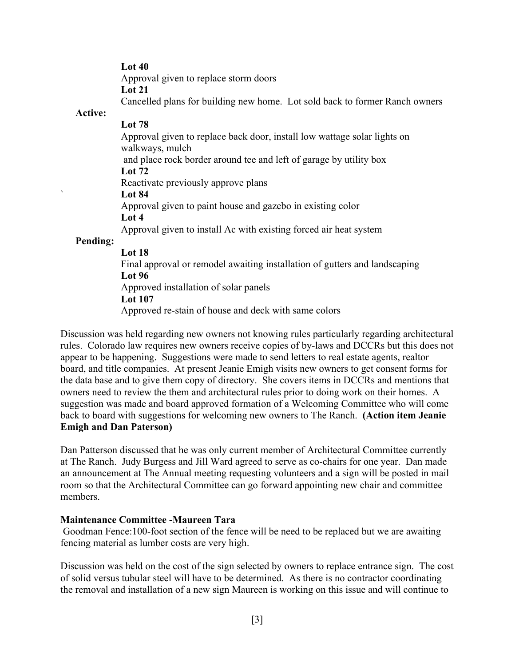**Lot 40** Approval given to replace storm doors **Lot 21** Cancelled plans for building new home. Lot sold back to former Ranch owners

#### **Active:**

#### **Lot 78**

Approval given to replace back door, install low wattage solar lights on walkways, mulch and place rock border around tee and left of garage by utility box **Lot 72** Reactivate previously approve plans ` **Lot 84** Approval given to paint house and gazebo in existing color **Lot 4** Approval given to install Ac with existing forced air heat system

## **Pending:**

#### **Lot 18**

Final approval or remodel awaiting installation of gutters and landscaping **Lot 96** Approved installation of solar panels **Lot 107** Approved re-stain of house and deck with same colors

Discussion was held regarding new owners not knowing rules particularly regarding architectural rules. Colorado law requires new owners receive copies of by-laws and DCCRs but this does not appear to be happening. Suggestions were made to send letters to real estate agents, realtor board, and title companies. At present Jeanie Emigh visits new owners to get consent forms for the data base and to give them copy of directory. She covers items in DCCRs and mentions that owners need to review the them and architectural rules prior to doing work on their homes. A suggestion was made and board approved formation of a Welcoming Committee who will come back to board with suggestions for welcoming new owners to The Ranch. **(Action item Jeanie Emigh and Dan Paterson)**

Dan Patterson discussed that he was only current member of Architectural Committee currently at The Ranch. Judy Burgess and Jill Ward agreed to serve as co-chairs for one year. Dan made an announcement at The Annual meeting requesting volunteers and a sign will be posted in mail room so that the Architectural Committee can go forward appointing new chair and committee members.

#### **Maintenance Committee -Maureen Tara**

Goodman Fence:100-foot section of the fence will be need to be replaced but we are awaiting fencing material as lumber costs are very high.

Discussion was held on the cost of the sign selected by owners to replace entrance sign. The cost of solid versus tubular steel will have to be determined. As there is no contractor coordinating the removal and installation of a new sign Maureen is working on this issue and will continue to